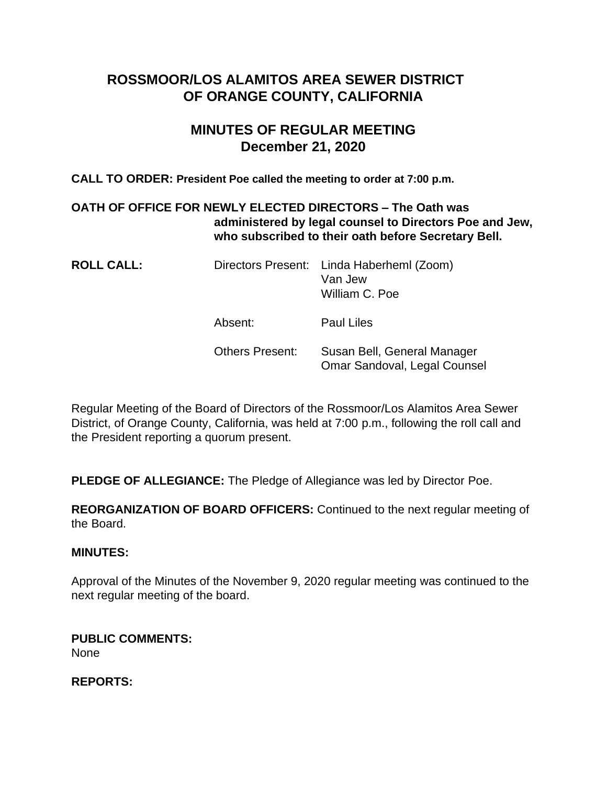# **ROSSMOOR/LOS ALAMITOS AREA SEWER DISTRICT OF ORANGE COUNTY, CALIFORNIA**

# **MINUTES OF REGULAR MEETING December 21, 2020**

**CALL TO ORDER: President Poe called the meeting to order at 7:00 p.m.**

# **OATH OF OFFICE FOR NEWLY ELECTED DIRECTORS – The Oath was administered by legal counsel to Directors Poe and Jew, who subscribed to their oath before Secretary Bell.**

| <b>ROLL CALL:</b> |                        | Directors Present: Linda Haberheml (Zoom)<br>Van Jew<br>William C. Poe |
|-------------------|------------------------|------------------------------------------------------------------------|
|                   | Absent:                | Paul Liles                                                             |
|                   | <b>Others Present:</b> | Susan Bell, General Manager                                            |

Regular Meeting of the Board of Directors of the Rossmoor/Los Alamitos Area Sewer District, of Orange County, California, was held at 7:00 p.m., following the roll call and the President reporting a quorum present.

Omar Sandoval, Legal Counsel

**PLEDGE OF ALLEGIANCE:** The Pledge of Allegiance was led by Director Poe.

**REORGANIZATION OF BOARD OFFICERS:** Continued to the next regular meeting of the Board.

# **MINUTES:**

Approval of the Minutes of the November 9, 2020 regular meeting was continued to the next regular meeting of the board.

**PUBLIC COMMENTS:**  None

**REPORTS:**